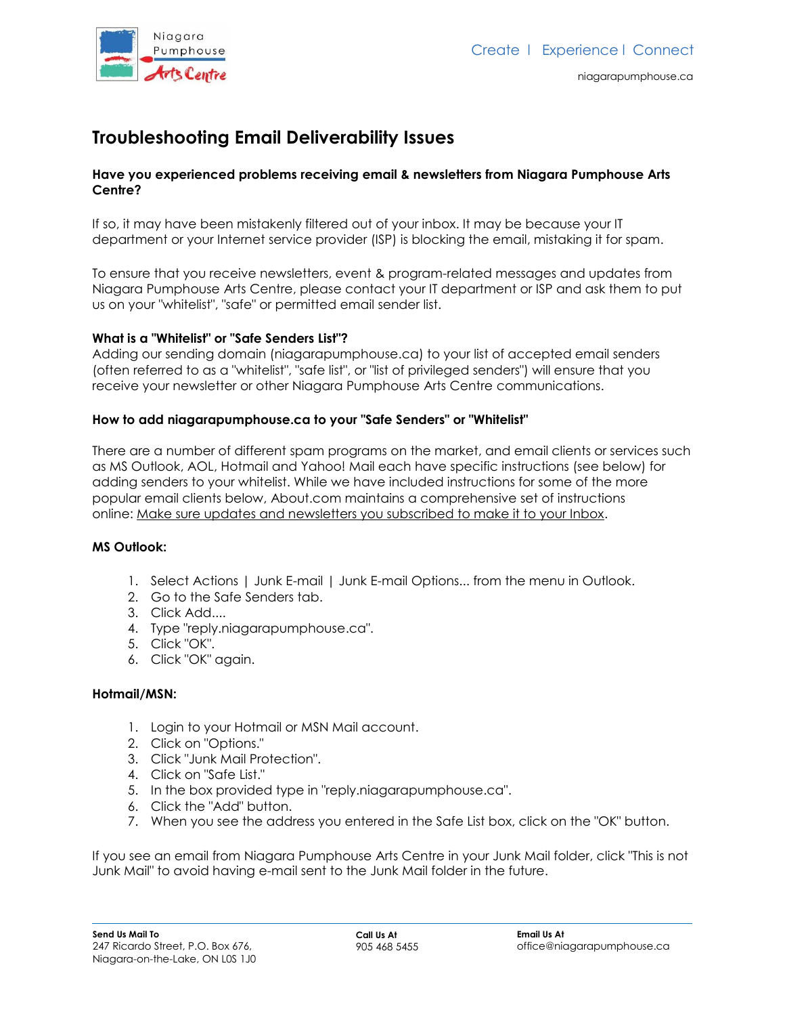

# **Troubleshooting Email Deliverability Issues**

### **Have you experienced problems receiving email & newsletters from Niagara Pumphouse Arts Centre?**

If so, it may have been mistakenly filtered out of your inbox. It may be because your IT department or your Internet service provider (ISP) is blocking the email, mistaking it for spam.

To ensure that you receive newsletters, event & program-related messages and updates from Niagara Pumphouse Arts Centre, please contact your IT department or ISP and ask them to put us on your "whitelist", "safe" or permitted email sender list.

### **What is a "Whitelist" or "Safe Senders List"?**

Adding our sending domain (niagarapumphouse.ca) to your list of accepted email senders (often referred to as a "whitelist", "safe list", or "list of privileged senders") will ensure that you receive your newsletter or other Niagara Pumphouse Arts Centre communications.

### **How to add niagarapumphouse.ca to your "Safe Senders" or "Whitelist"**

There are a number of different spam programs on the market, and email clients or services such as MS Outlook, AOL, Hotmail and Yahoo! Mail each have specific instructions (see below) for adding senders to your whitelist. While we have included instructions for some of the more popular email clients below, About.com maintains a comprehensive set of instructions online: [Make sure updates and newsletters you subscribed to make it to your Inbox.](http://email.about.com/od/makesureyougetgoodmail/Make_Sure_You_Get_Your_Newsletters_and_Other_Good_Mail.htm)

### **MS Outlook:**

- 1. Select Actions | Junk E-mail | Junk E-mail Options... from the menu in Outlook.
- 2. Go to the Safe Senders tab.
- 3. Click Add....
- 4. Type "reply.niagarapumphouse.ca".
- 5. Click "OK".
- 6. Click "OK" again.

#### **Hotmail/MSN:**

- 1. Login to your Hotmail or MSN Mail account.
- 2. Click on "Options."
- 3. Click "Junk Mail Protection".
- 4. Click on "Safe List."
- 5. In the box provided type in "reply.niagarapumphouse.ca".
- 6. Click the "Add" button.
- 7. When you see the address you entered in the Safe List box, click on the "OK" button.

If you see an email from Niagara Pumphouse Arts Centre in your Junk Mail folder, click "This is not Junk Mail" to avoid having e-mail sent to the Junk Mail folder in the future.